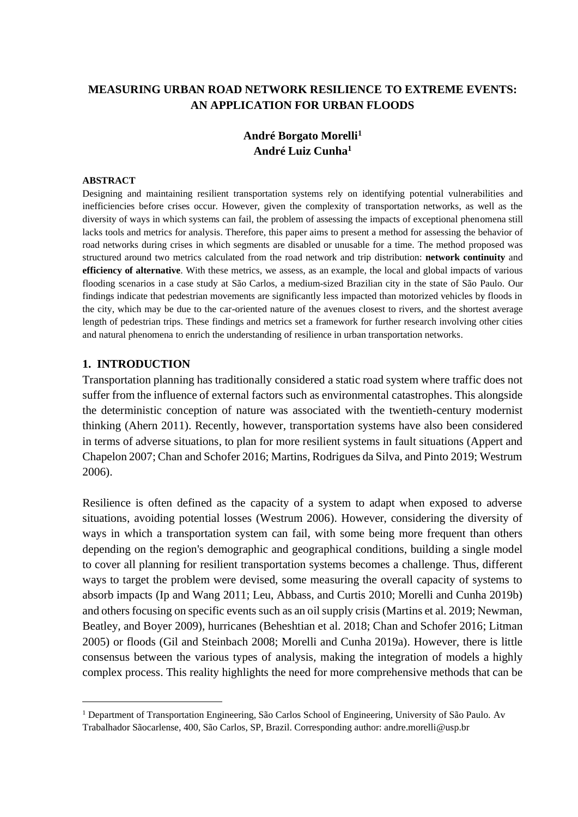# **MEASURING URBAN ROAD NETWORK RESILIENCE TO EXTREME EVENTS: AN APPLICATION FOR URBAN FLOODS**

# <span id="page-0-0"></span>**André Borgato Morelli<sup>1</sup> André Luiz Cunha[1](#page-0-0)**

#### **ABSTRACT**

Designing and maintaining resilient transportation systems rely on identifying potential vulnerabilities and inefficiencies before crises occur. However, given the complexity of transportation networks, as well as the diversity of ways in which systems can fail, the problem of assessing the impacts of exceptional phenomena still lacks tools and metrics for analysis. Therefore, this paper aims to present a method for assessing the behavior of road networks during crises in which segments are disabled or unusable for a time. The method proposed was structured around two metrics calculated from the road network and trip distribution: **network continuity** and **efficiency of alternative**. With these metrics, we assess, as an example, the local and global impacts of various flooding scenarios in a case study at São Carlos, a medium-sized Brazilian city in the state of São Paulo. Our findings indicate that pedestrian movements are significantly less impacted than motorized vehicles by floods in the city, which may be due to the car-oriented nature of the avenues closest to rivers, and the shortest average length of pedestrian trips. These findings and metrics set a framework for further research involving other cities and natural phenomena to enrich the understanding of resilience in urban transportation networks.

### **1. INTRODUCTION**

Transportation planning has traditionally considered a static road system where traffic does not suffer from the influence of external factors such as environmental catastrophes. This alongside the deterministic conception of nature was associated with the twentieth-century modernist thinking (Ahern 2011). Recently, however, transportation systems have also been considered in terms of adverse situations, to plan for more resilient systems in fault situations (Appert and Chapelon 2007; Chan and Schofer 2016; Martins, Rodrigues da Silva, and Pinto 2019; Westrum 2006).

Resilience is often defined as the capacity of a system to adapt when exposed to adverse situations, avoiding potential losses (Westrum 2006). However, considering the diversity of ways in which a transportation system can fail, with some being more frequent than others depending on the region's demographic and geographical conditions, building a single model to cover all planning for resilient transportation systems becomes a challenge. Thus, different ways to target the problem were devised, some measuring the overall capacity of systems to absorb impacts (Ip and Wang 2011; Leu, Abbass, and Curtis 2010; Morelli and Cunha 2019b) and others focusing on specific events such as an oil supply crisis (Martins et al. 2019; Newman, Beatley, and Boyer 2009), hurricanes (Beheshtian et al. 2018; Chan and Schofer 2016; Litman 2005) or floods (Gil and Steinbach 2008; Morelli and Cunha 2019a). However, there is little consensus between the various types of analysis, making the integration of models a highly complex process. This reality highlights the need for more comprehensive methods that can be

<sup>1</sup> Department of Transportation Engineering, São Carlos School of Engineering, University of São Paulo. Av Trabalhador Sãocarlense, 400, São Carlos, SP, Brazil. Corresponding author: andre.morelli@usp.br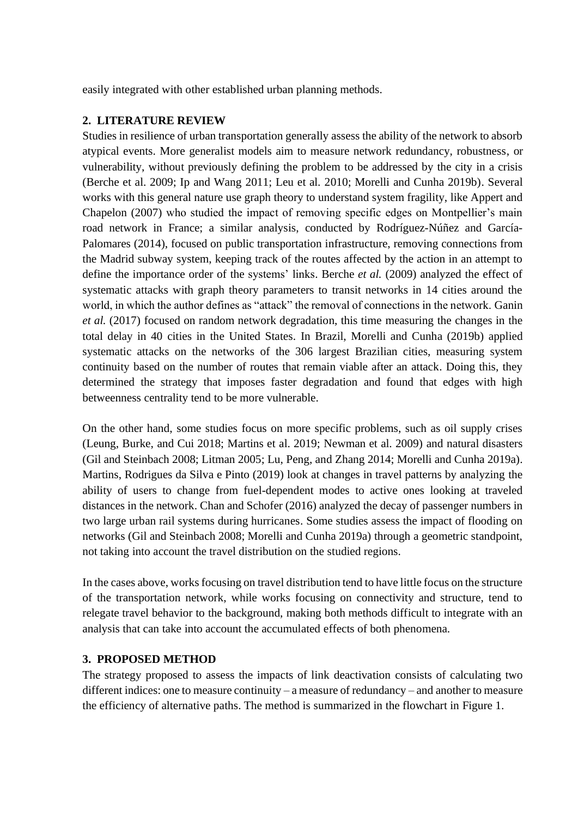easily integrated with other established urban planning methods.

# **2. LITERATURE REVIEW**

Studies in resilience of urban transportation generally assess the ability of the network to absorb atypical events. More generalist models aim to measure network redundancy, robustness, or vulnerability, without previously defining the problem to be addressed by the city in a crisis (Berche et al. 2009; Ip and Wang 2011; Leu et al. 2010; Morelli and Cunha 2019b). Several works with this general nature use graph theory to understand system fragility, like Appert and Chapelon (2007) who studied the impact of removing specific edges on Montpellier's main road network in France; a similar analysis, conducted by Rodríguez-Núñez and García-Palomares (2014), focused on public transportation infrastructure, removing connections from the Madrid subway system, keeping track of the routes affected by the action in an attempt to define the importance order of the systems' links. Berche *et al.* (2009) analyzed the effect of systematic attacks with graph theory parameters to transit networks in 14 cities around the world, in which the author defines as "attack" the removal of connections in the network. Ganin *et al.* (2017) focused on random network degradation, this time measuring the changes in the total delay in 40 cities in the United States. In Brazil, Morelli and Cunha (2019b) applied systematic attacks on the networks of the 306 largest Brazilian cities, measuring system continuity based on the number of routes that remain viable after an attack. Doing this, they determined the strategy that imposes faster degradation and found that edges with high betweenness centrality tend to be more vulnerable.

On the other hand, some studies focus on more specific problems, such as oil supply crises (Leung, Burke, and Cui 2018; Martins et al. 2019; Newman et al. 2009) and natural disasters (Gil and Steinbach 2008; Litman 2005; Lu, Peng, and Zhang 2014; Morelli and Cunha 2019a). Martins, Rodrigues da Silva e Pinto (2019) look at changes in travel patterns by analyzing the ability of users to change from fuel-dependent modes to active ones looking at traveled distances in the network. Chan and Schofer (2016) analyzed the decay of passenger numbers in two large urban rail systems during hurricanes. Some studies assess the impact of flooding on networks (Gil and Steinbach 2008; Morelli and Cunha 2019a) through a geometric standpoint, not taking into account the travel distribution on the studied regions.

In the cases above, works focusing on travel distribution tend to have little focus on the structure of the transportation network, while works focusing on connectivity and structure, tend to relegate travel behavior to the background, making both methods difficult to integrate with an analysis that can take into account the accumulated effects of both phenomena.

# **3. PROPOSED METHOD**

The strategy proposed to assess the impacts of link deactivation consists of calculating two different indices: one to measure continuity – a measure of redundancy – and another to measure the efficiency of alternative paths. The method is summarized in the flowchart in Figure 1.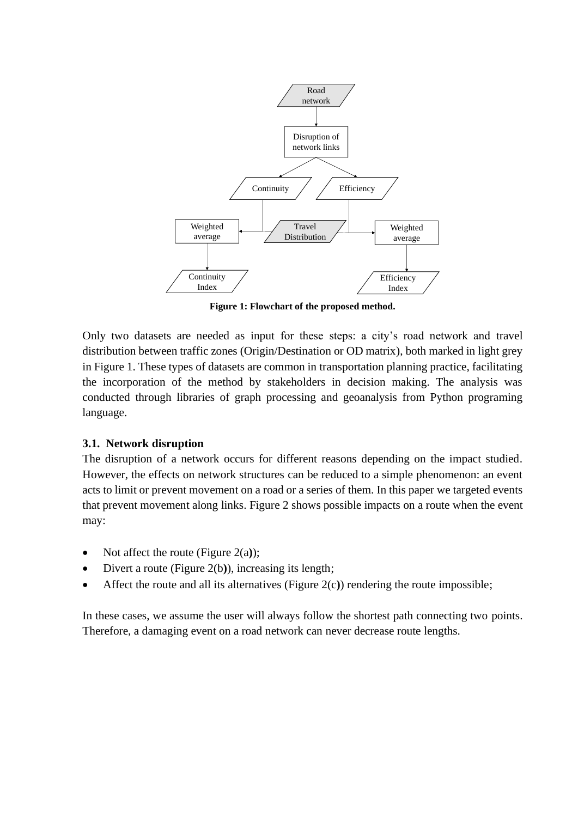

**Figure 1: Flowchart of the proposed method.**

Only two datasets are needed as input for these steps: a city's road network and travel distribution between traffic zones (Origin/Destination or OD matrix), both marked in light grey in Figure 1. These types of datasets are common in transportation planning practice, facilitating the incorporation of the method by stakeholders in decision making. The analysis was conducted through libraries of graph processing and geoanalysis from Python programing language.

## **3.1. Network disruption**

The disruption of a network occurs for different reasons depending on the impact studied. However, the effects on network structures can be reduced to a simple phenomenon: an event acts to limit or prevent movement on a road or a series of them. In this paper we targeted events that prevent movement along links. Figure 2 shows possible impacts on a route when the event may:

- Not affect the route (Figure 2(a**)**);
- Divert a route (Figure 2(b**)**), increasing its length;
- Affect the route and all its alternatives (Figure 2(c**)**) rendering the route impossible;

In these cases, we assume the user will always follow the shortest path connecting two points. Therefore, a damaging event on a road network can never decrease route lengths.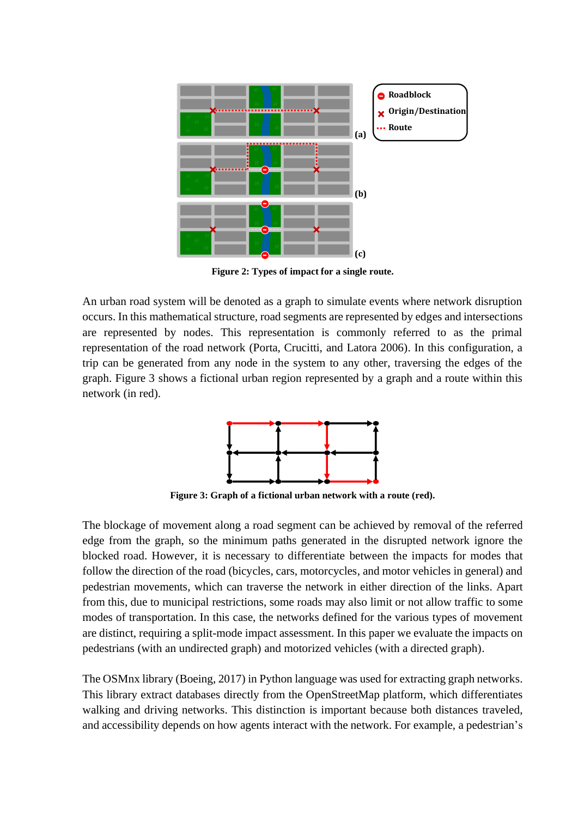

**Figure 2: Types of impact for a single route.**

An urban road system will be denoted as a graph to simulate events where network disruption occurs. In this mathematical structure, road segments are represented by edges and intersections are represented by nodes. This representation is commonly referred to as the primal representation of the road network (Porta, Crucitti, and Latora 2006). In this configuration, a trip can be generated from any node in the system to any other, traversing the edges of the graph. Figure 3 shows a fictional urban region represented by a graph and a route within this network (in red).



**Figure 3: Graph of a fictional urban network with a route (red).**

The blockage of movement along a road segment can be achieved by removal of the referred edge from the graph, so the minimum paths generated in the disrupted network ignore the blocked road. However, it is necessary to differentiate between the impacts for modes that follow the direction of the road (bicycles, cars, motorcycles, and motor vehicles in general) and pedestrian movements, which can traverse the network in either direction of the links. Apart from this, due to municipal restrictions, some roads may also limit or not allow traffic to some modes of transportation. In this case, the networks defined for the various types of movement are distinct, requiring a split-mode impact assessment. In this paper we evaluate the impacts on pedestrians (with an undirected graph) and motorized vehicles (with a directed graph).

The OSMnx library (Boeing, 2017) in Python language was used for extracting graph networks. This library extract databases directly from the OpenStreetMap platform, which differentiates walking and driving networks. This distinction is important because both distances traveled, and accessibility depends on how agents interact with the network. For example, a pedestrian's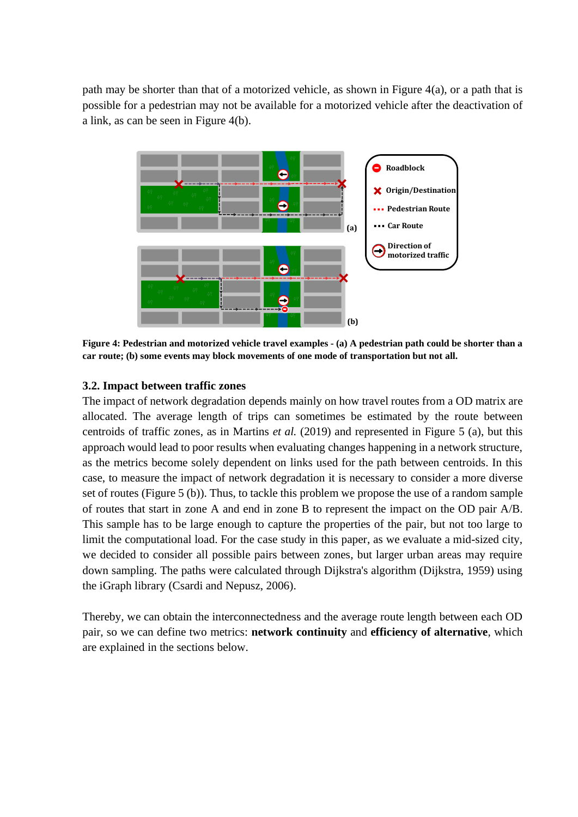path may be shorter than that of a motorized vehicle, as shown in Figure 4(a), or a path that is possible for a pedestrian may not be available for a motorized vehicle after the deactivation of a link, as can be seen in Figure 4(b).



**Figure 4: Pedestrian and motorized vehicle travel examples - (a) A pedestrian path could be shorter than a car route; (b) some events may block movements of one mode of transportation but not all.**

# **3.2. Impact between traffic zones**

The impact of network degradation depends mainly on how travel routes from a OD matrix are allocated. The average length of trips can sometimes be estimated by the route between centroids of traffic zones, as in Martins *et al.* (2019) and represented in Figure 5 (a), but this approach would lead to poor results when evaluating changes happening in a network structure, as the metrics become solely dependent on links used for the path between centroids. In this case, to measure the impact of network degradation it is necessary to consider a more diverse set of routes (Figure 5 (b)). Thus, to tackle this problem we propose the use of a random sample of routes that start in zone A and end in zone B to represent the impact on the OD pair A/B. This sample has to be large enough to capture the properties of the pair, but not too large to limit the computational load. For the case study in this paper, as we evaluate a mid-sized city, we decided to consider all possible pairs between zones, but larger urban areas may require down sampling. The paths were calculated through Dijkstra's algorithm (Dijkstra, 1959) using the iGraph library (Csardi and Nepusz, 2006).

Thereby, we can obtain the interconnectedness and the average route length between each OD pair, so we can define two metrics: **network continuity** and **efficiency of alternative**, which are explained in the sections below.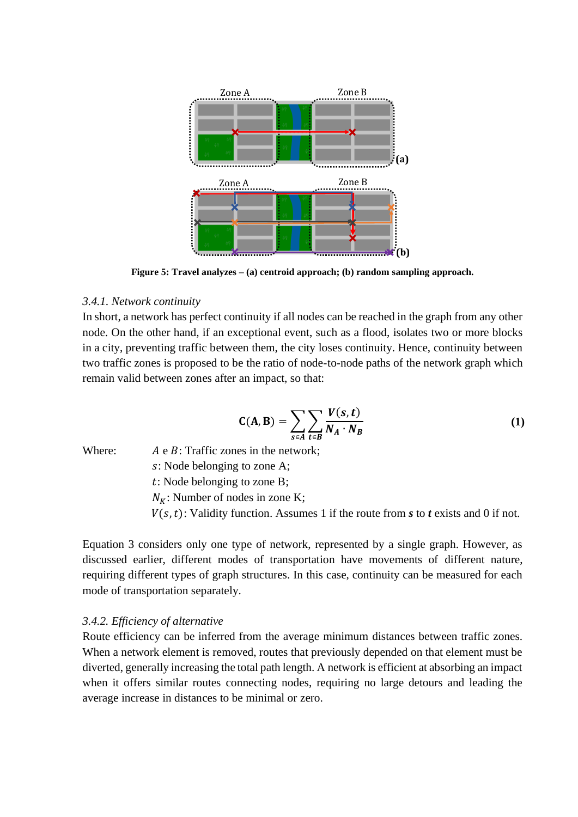

**Figure 5: Travel analyzes – (a) centroid approach; (b) random sampling approach.**

### *3.4.1. Network continuity*

In short, a network has perfect continuity if all nodes can be reached in the graph from any other node. On the other hand, if an exceptional event, such as a flood, isolates two or more blocks in a city, preventing traffic between them, the city loses continuity. Hence, continuity between two traffic zones is proposed to be the ratio of node-to-node paths of the network graph which remain valid between zones after an impact, so that:

$$
\mathbf{C}(\mathbf{A}, \mathbf{B}) = \sum_{s \in A} \sum_{t \in B} \frac{V(s, t)}{N_A \cdot N_B}
$$
(1)

Where:  $A \in B$ : Traffic zones in the network;

: Node belonging to zone A;

: Node belonging to zone B;

 $N_K$ : Number of nodes in zone K;

 $V(s, t)$ : Validity function. Assumes 1 if the route from *s* to *t* exists and 0 if not.

Equation 3 considers only one type of network, represented by a single graph. However, as discussed earlier, different modes of transportation have movements of different nature, requiring different types of graph structures. In this case, continuity can be measured for each mode of transportation separately.

### *3.4.2. Efficiency of alternative*

Route efficiency can be inferred from the average minimum distances between traffic zones. When a network element is removed, routes that previously depended on that element must be diverted, generally increasing the total path length. A network is efficient at absorbing an impact when it offers similar routes connecting nodes, requiring no large detours and leading the average increase in distances to be minimal or zero.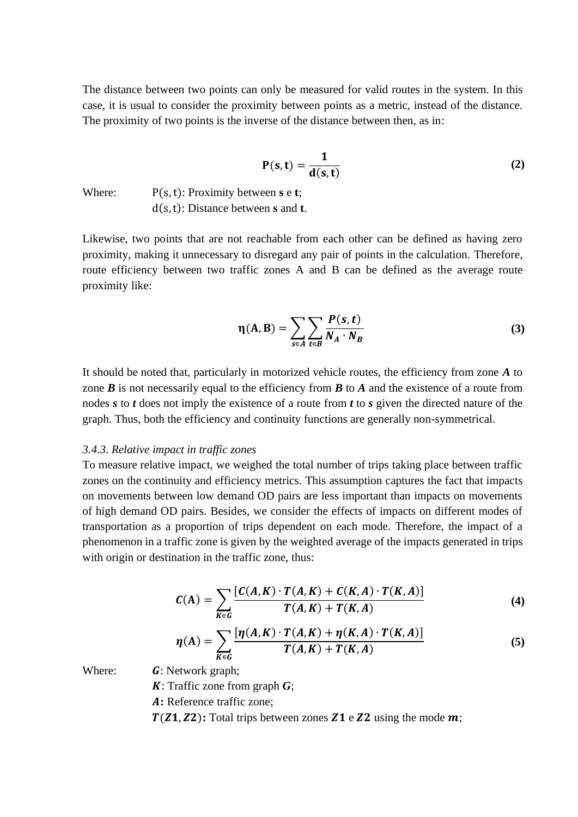The distance between two points can only be measured for valid routes in the system. In this case, it is usual to consider the proximity between points as a metric, instead of the distance. The proximity of two points is the inverse of the distance between then, as in:

$$
P(s,t) = \frac{1}{d(s,t)}
$$
 (2)

Where: P(s, t): Proximity between **s** e **t**; d(s,t): Distance between **s** and **t**.

Likewise, two points that are not reachable from each other can be defined as having zero proximity, making it unnecessary to disregard any pair of points in the calculation. Therefore, route efficiency between two traffic zones A and B can be defined as the average route proximity like:

$$
\eta(A, B) = \sum_{s \in A} \sum_{t \in B} \frac{P(s, t)}{N_A \cdot N_B}
$$
(3)

It should be noted that, particularly in motorized vehicle routes, the efficiency from zone *A* to zone  $\vec{B}$  is not necessarily equal to the efficiency from  $\vec{B}$  to  $\vec{A}$  and the existence of a route from nodes *s* to *t* does not imply the existence of a route from *t* to *s* given the directed nature of the graph. Thus, both the efficiency and continuity functions are generally non-symmetrical.

#### *3.4.3. Relative impact in traffic zones*

To measure relative impact, we weighed the total number of trips taking place between traffic zones on the continuity and efficiency metrics. This assumption captures the fact that impacts on movements between low demand OD pairs are less important than impacts on movements of high demand OD pairs. Besides, we consider the effects of impacts on different modes of transportation as a proportion of trips dependent on each mode. Therefore, the impact of a phenomenon in a traffic zone is given by the weighted average of the impacts generated in trips with origin or destination in the traffic zone, thus:

$$
C(A) = \sum_{K \in G} \frac{[C(A,K) \cdot T(A,K) + C(K,A) \cdot T(K,A)]}{T(A,K) + T(K,A)}
$$
(4)

$$
\eta(A) = \sum_{K \in G} \frac{\left[\eta(A,K) \cdot T(A,K) + \eta(K,A) \cdot T(K,A)\right]}{T(A,K) + T(K,A)}
$$
(5)

Where:  $\boldsymbol{G}$ : Network graph;

: Traffic zone from graph *G*;

**:** Reference traffic zone;

 $T(Z1, Z2)$ : Total trips between zones  $Z1$  e  $Z2$  using the mode  $m$ ;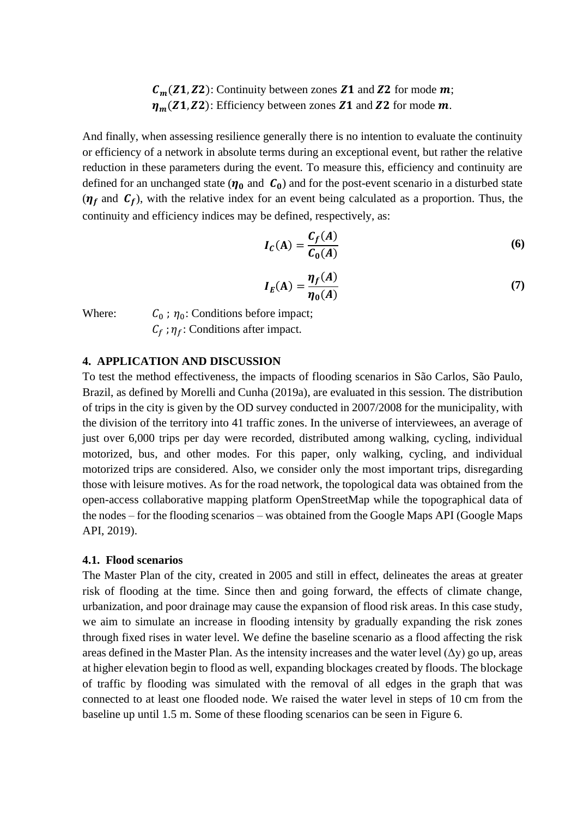$C_m(Z1, Z2)$ : Continuity between zones **Z1** and **Z2** for mode **m**;  $\eta_m(Z_1, Z_2)$ : Efficiency between zones **Z1** and **Z2** for mode  $m$ .

And finally, when assessing resilience generally there is no intention to evaluate the continuity or efficiency of a network in absolute terms during an exceptional event, but rather the relative reduction in these parameters during the event. To measure this, efficiency and continuity are defined for an unchanged state  $(\eta_0$  and  $C_0$ ) and for the post-event scenario in a disturbed state  $(\eta_f)$  and  $C_f$ ), with the relative index for an event being calculated as a proportion. Thus, the continuity and efficiency indices may be defined, respectively, as:

$$
I_C(A) = \frac{C_f(A)}{C_0(A)}\tag{6}
$$

$$
I_E(A) = \frac{\eta_f(A)}{\eta_0(A)}\tag{7}
$$

Where:

;  $\eta_0$ : Conditions before impact;  $C_f$ ;  $\eta_f$ : Conditions after impact.

## **4. APPLICATION AND DISCUSSION**

To test the method effectiveness, the impacts of flooding scenarios in São Carlos, São Paulo, Brazil, as defined by Morelli and Cunha (2019a), are evaluated in this session. The distribution of trips in the city is given by the OD survey conducted in 2007/2008 for the municipality, with the division of the territory into 41 traffic zones. In the universe of interviewees, an average of just over 6,000 trips per day were recorded, distributed among walking, cycling, individual motorized, bus, and other modes. For this paper, only walking, cycling, and individual motorized trips are considered. Also, we consider only the most important trips, disregarding those with leisure motives. As for the road network, the topological data was obtained from the open-access collaborative mapping platform OpenStreetMap while the topographical data of the nodes – for the flooding scenarios – was obtained from the Google Maps API (Google Maps API, 2019).

### **4.1. Flood scenarios**

The Master Plan of the city, created in 2005 and still in effect, delineates the areas at greater risk of flooding at the time. Since then and going forward, the effects of climate change, urbanization, and poor drainage may cause the expansion of flood risk areas. In this case study, we aim to simulate an increase in flooding intensity by gradually expanding the risk zones through fixed rises in water level. We define the baseline scenario as a flood affecting the risk areas defined in the Master Plan. As the intensity increases and the water level  $(\Delta y)$  go up, areas at higher elevation begin to flood as well, expanding blockages created by floods. The blockage of traffic by flooding was simulated with the removal of all edges in the graph that was connected to at least one flooded node. We raised the water level in steps of 10 cm from the baseline up until 1.5 m. Some of these flooding scenarios can be seen in Figure 6.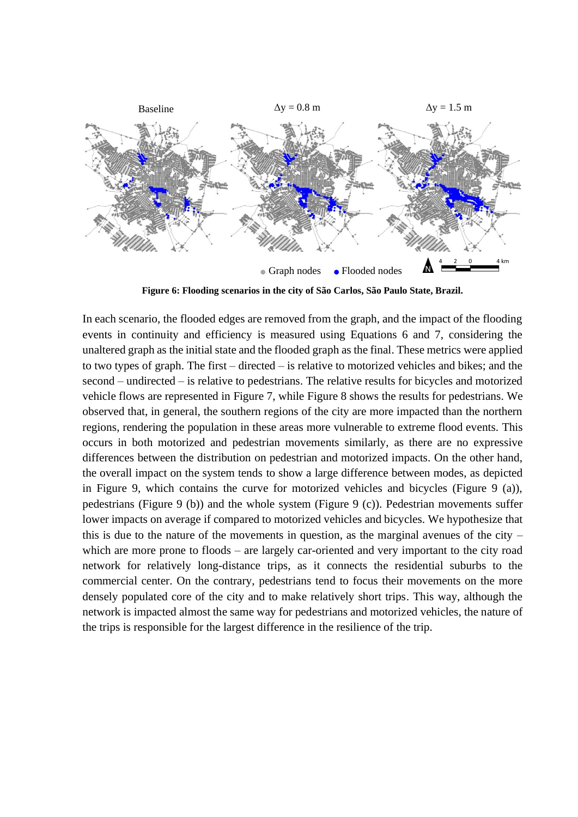

**Figure 6: Flooding scenarios in the city of São Carlos, São Paulo State, Brazil.**

In each scenario, the flooded edges are removed from the graph, and the impact of the flooding events in continuity and efficiency is measured using Equations 6 and 7, considering the unaltered graph as the initial state and the flooded graph as the final. These metrics were applied to two types of graph. The first – directed – is relative to motorized vehicles and bikes; and the second – undirected – is relative to pedestrians. The relative results for bicycles and motorized vehicle flows are represented in Figure 7, while Figure 8 shows the results for pedestrians. We observed that, in general, the southern regions of the city are more impacted than the northern regions, rendering the population in these areas more vulnerable to extreme flood events. This occurs in both motorized and pedestrian movements similarly, as there are no expressive differences between the distribution on pedestrian and motorized impacts. On the other hand, the overall impact on the system tends to show a large difference between modes, as depicted in Figure 9, which contains the curve for motorized vehicles and bicycles (Figure 9 (a)), pedestrians (Figure 9 (b)) and the whole system (Figure 9 (c)). Pedestrian movements suffer lower impacts on average if compared to motorized vehicles and bicycles. We hypothesize that this is due to the nature of the movements in question, as the marginal avenues of the city – which are more prone to floods – are largely car-oriented and very important to the city road network for relatively long-distance trips, as it connects the residential suburbs to the commercial center. On the contrary, pedestrians tend to focus their movements on the more densely populated core of the city and to make relatively short trips. This way, although the network is impacted almost the same way for pedestrians and motorized vehicles, the nature of the trips is responsible for the largest difference in the resilience of the trip.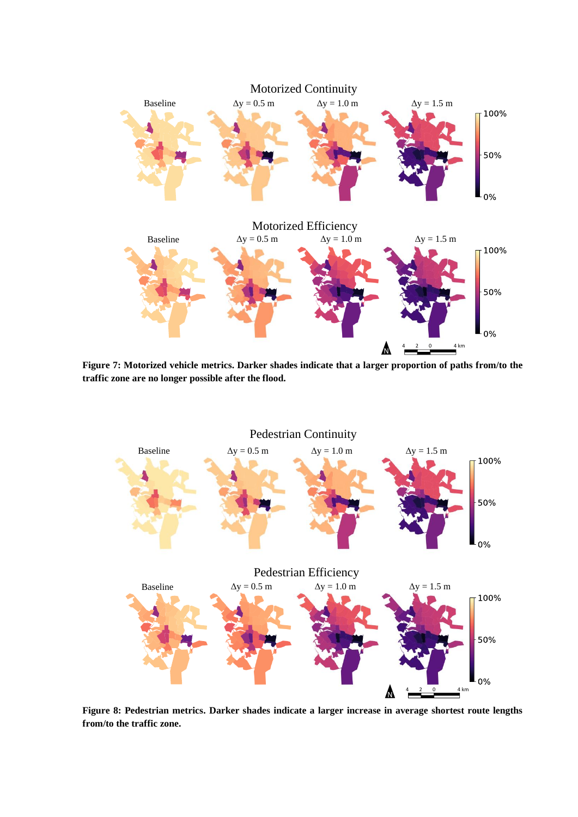

**Figure 7: Motorized vehicle metrics. Darker shades indicate that a larger proportion of paths from/to the traffic zone are no longer possible after the flood.**



**Figure 8: Pedestrian metrics. Darker shades indicate a larger increase in average shortest route lengths from/to the traffic zone.**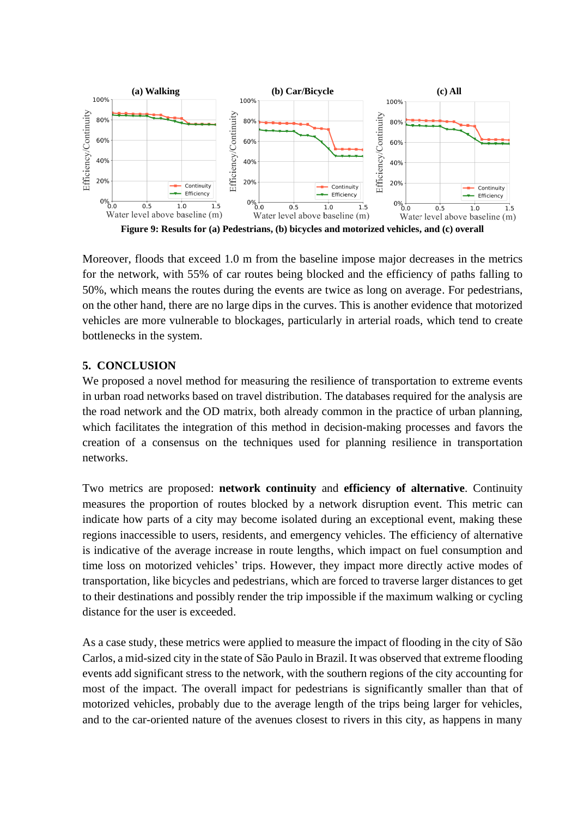

Moreover, floods that exceed 1.0 m from the baseline impose major decreases in the metrics for the network, with 55% of car routes being blocked and the efficiency of paths falling to 50%, which means the routes during the events are twice as long on average. For pedestrians, on the other hand, there are no large dips in the curves. This is another evidence that motorized vehicles are more vulnerable to blockages, particularly in arterial roads, which tend to create bottlenecks in the system.

## **5. CONCLUSION**

We proposed a novel method for measuring the resilience of transportation to extreme events in urban road networks based on travel distribution. The databases required for the analysis are the road network and the OD matrix, both already common in the practice of urban planning, which facilitates the integration of this method in decision-making processes and favors the creation of a consensus on the techniques used for planning resilience in transportation networks.

Two metrics are proposed: **network continuity** and **efficiency of alternative**. Continuity measures the proportion of routes blocked by a network disruption event. This metric can indicate how parts of a city may become isolated during an exceptional event, making these regions inaccessible to users, residents, and emergency vehicles. The efficiency of alternative is indicative of the average increase in route lengths, which impact on fuel consumption and time loss on motorized vehicles' trips. However, they impact more directly active modes of transportation, like bicycles and pedestrians, which are forced to traverse larger distances to get to their destinations and possibly render the trip impossible if the maximum walking or cycling distance for the user is exceeded.

As a case study, these metrics were applied to measure the impact of flooding in the city of São Carlos, a mid-sized city in the state of São Paulo in Brazil. It was observed that extreme flooding events add significant stress to the network, with the southern regions of the city accounting for most of the impact. The overall impact for pedestrians is significantly smaller than that of motorized vehicles, probably due to the average length of the trips being larger for vehicles, and to the car-oriented nature of the avenues closest to rivers in this city, as happens in many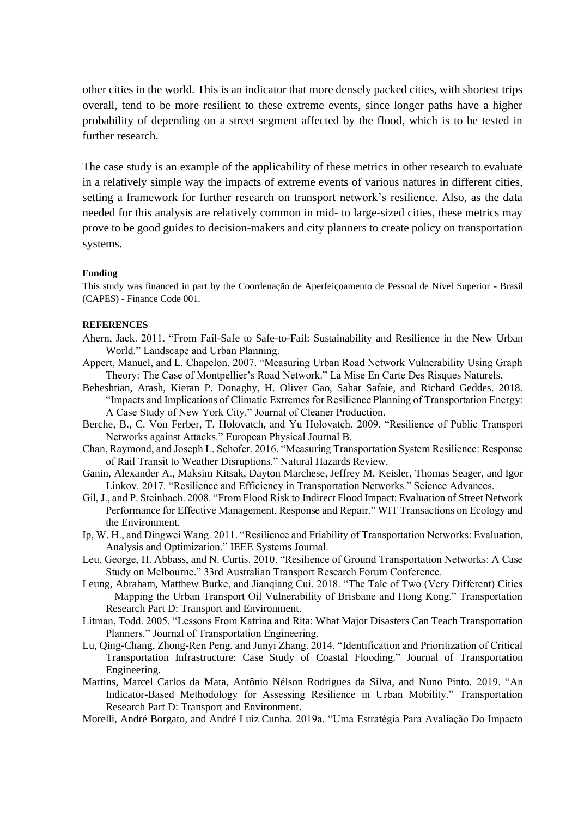other cities in the world. This is an indicator that more densely packed cities, with shortest trips overall, tend to be more resilient to these extreme events, since longer paths have a higher probability of depending on a street segment affected by the flood, which is to be tested in further research.

The case study is an example of the applicability of these metrics in other research to evaluate in a relatively simple way the impacts of extreme events of various natures in different cities, setting a framework for further research on transport network's resilience. Also, as the data needed for this analysis are relatively common in mid- to large-sized cities, these metrics may prove to be good guides to decision-makers and city planners to create policy on transportation systems.

#### **Funding**

This study was financed in part by the Coordenação de Aperfeiçoamento de Pessoal de Nível Superior - Brasil (CAPES) - Finance Code 001.

#### **REFERENCES**

- Ahern, Jack. 2011. "From Fail-Safe to Safe-to-Fail: Sustainability and Resilience in the New Urban World." Landscape and Urban Planning.
- Appert, Manuel, and L. Chapelon. 2007. "Measuring Urban Road Network Vulnerability Using Graph Theory: The Case of Montpellier's Road Network." La Mise En Carte Des Risques Naturels.
- Beheshtian, Arash, Kieran P. Donaghy, H. Oliver Gao, Sahar Safaie, and Richard Geddes. 2018. "Impacts and Implications of Climatic Extremes for Resilience Planning of Transportation Energy: A Case Study of New York City." Journal of Cleaner Production.
- Berche, B., C. Von Ferber, T. Holovatch, and Yu Holovatch. 2009. "Resilience of Public Transport Networks against Attacks." European Physical Journal B.
- Chan, Raymond, and Joseph L. Schofer. 2016. "Measuring Transportation System Resilience: Response of Rail Transit to Weather Disruptions." Natural Hazards Review.
- Ganin, Alexander A., Maksim Kitsak, Dayton Marchese, Jeffrey M. Keisler, Thomas Seager, and Igor Linkov. 2017. "Resilience and Efficiency in Transportation Networks." Science Advances.
- Gil, J., and P. Steinbach. 2008. "From Flood Risk to Indirect Flood Impact: Evaluation of Street Network Performance for Effective Management, Response and Repair." WIT Transactions on Ecology and the Environment.
- Ip, W. H., and Dingwei Wang. 2011. "Resilience and Friability of Transportation Networks: Evaluation, Analysis and Optimization." IEEE Systems Journal.
- Leu, George, H. Abbass, and N. Curtis. 2010. "Resilience of Ground Transportation Networks: A Case Study on Melbourne." 33rd Australian Transport Research Forum Conference.
- Leung, Abraham, Matthew Burke, and Jianqiang Cui. 2018. "The Tale of Two (Very Different) Cities – Mapping the Urban Transport Oil Vulnerability of Brisbane and Hong Kong." Transportation Research Part D: Transport and Environment.
- Litman, Todd. 2005. "Lessons From Katrina and Rita: What Major Disasters Can Teach Transportation Planners." Journal of Transportation Engineering.
- Lu, Qing-Chang, Zhong-Ren Peng, and Junyi Zhang. 2014. "Identification and Prioritization of Critical Transportation Infrastructure: Case Study of Coastal Flooding." Journal of Transportation Engineering.
- Martins, Marcel Carlos da Mata, Antônio Nélson Rodrigues da Silva, and Nuno Pinto. 2019. "An Indicator-Based Methodology for Assessing Resilience in Urban Mobility." Transportation Research Part D: Transport and Environment.
- Morelli, André Borgato, and André Luiz Cunha. 2019a. "Uma Estratégia Para Avaliação Do Impacto